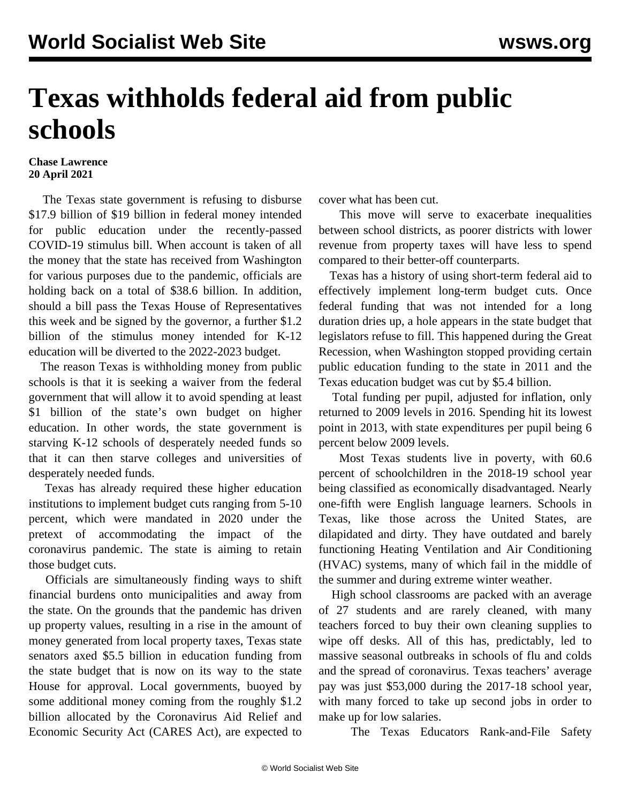## **Texas withholds federal aid from public schools**

## **Chase Lawrence 20 April 2021**

 The Texas state government is refusing to disburse \$17.9 billion of \$19 billion in federal money intended for public education under the recently-passed COVID-19 stimulus bill. When account is taken of all the money that the state has received from Washington for various purposes due to the pandemic, officials are holding back on a total of \$38.6 billion. In addition, should a bill pass the Texas House of Representatives this week and be signed by the governor, a further \$1.2 billion of the stimulus money intended for K-12 education will be diverted to the 2022-2023 budget.

 The reason Texas is withholding money from public schools is that it is seeking a waiver from the federal government that will allow it to avoid spending at least \$1 billion of the state's own budget on higher education. In other words, the state government is starving K-12 schools of desperately needed funds so that it can then starve colleges and universities of desperately needed funds.

 Texas has already required these higher education institutions to implement budget cuts ranging from 5-10 percent, which were mandated in 2020 under the pretext of accommodating the impact of the coronavirus pandemic. The state is aiming to retain those budget cuts.

 Officials are simultaneously finding ways to shift financial burdens onto municipalities and away from the state. On the grounds that the pandemic has driven up property values, resulting in a rise in the amount of money generated from local property taxes, Texas state senators axed \$5.5 billion in education funding from the state budget that is now on its way to the state House for approval. Local governments, buoyed by some additional money coming from the roughly \$1.2 billion allocated by the Coronavirus Aid Relief and Economic Security Act (CARES Act), are expected to

cover what has been cut.

 This move will serve to exacerbate inequalities between school districts, as poorer districts with lower revenue from property taxes will have less to spend compared to their better-off counterparts.

 Texas has a history of using short-term federal aid to effectively implement long-term budget cuts. Once federal funding that was not intended for a long duration dries up, a hole appears in the state budget that legislators refuse to fill. This happened during the Great Recession, when Washington stopped providing certain public education funding to the state in 2011 and the Texas education budget was cut by \$5.4 billion.

 Total funding per pupil, adjusted for inflation, only returned to 2009 levels in 2016. Spending hit its lowest point in 2013, with state expenditures per pupil being 6 percent below 2009 levels.

 Most Texas students live in poverty, with 60.6 percent of schoolchildren in the 2018-19 school year being classified as economically disadvantaged. Nearly one-fifth were English language learners. Schools in Texas, like those across the United States, are dilapidated and dirty. They have outdated and barely functioning Heating Ventilation and Air Conditioning (HVAC) systems, many of which fail in the middle of the summer and during extreme winter weather.

 High school classrooms are packed with an average of 27 students and are rarely cleaned, with many teachers forced to buy their own cleaning supplies to wipe off desks. All of this has, predictably, led to massive seasonal outbreaks in schools of flu and colds and the spread of coronavirus. Texas teachers' average pay was just \$53,000 during the 2017-18 school year, with many forced to take up second jobs in order to make up for low salaries.

The Texas Educators Rank-and-File Safety